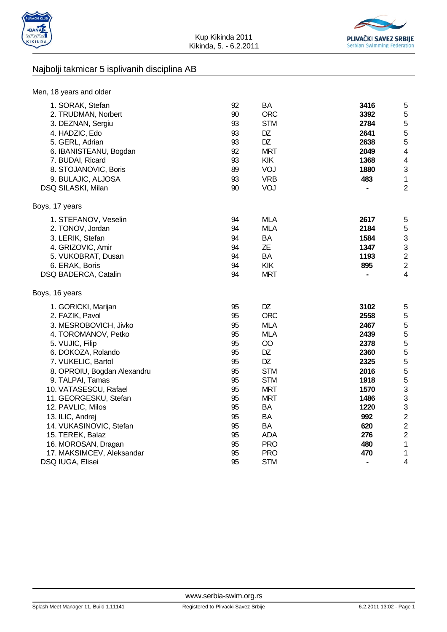



## Najbolji takmicar 5 isplivanih disciplina AB

| Men, 18 years and older                                                                                                                                                                                             |                                                          |                                                                                                    |                                                                     |                                                                                     |
|---------------------------------------------------------------------------------------------------------------------------------------------------------------------------------------------------------------------|----------------------------------------------------------|----------------------------------------------------------------------------------------------------|---------------------------------------------------------------------|-------------------------------------------------------------------------------------|
| 1. SORAK, Stefan<br>2. TRUDMAN, Norbert<br>3. DEZNAN, Sergiu<br>4. HADZIC, Edo<br>5. GERL, Adrian<br>6. IBANISTEANU, Bogdan<br>7. BUDAI, Ricard<br>8. STOJANOVIC, Boris<br>9. BULAJIC, ALJOSA<br>DSQ SILASKI, Milan | 92<br>90<br>93<br>93<br>93<br>92<br>93<br>89<br>93<br>90 | BA<br><b>ORC</b><br><b>STM</b><br>DZ<br>DZ<br><b>MRT</b><br><b>KIK</b><br>VOJ<br><b>VRB</b><br>VOJ | 3416<br>3392<br>2784<br>2641<br>2638<br>2049<br>1368<br>1880<br>483 | 5<br>5<br>5<br>5<br>5<br>4<br>$\overline{4}$<br>3<br>$\mathbf{1}$<br>$\overline{2}$ |
| Boys, 17 years                                                                                                                                                                                                      |                                                          |                                                                                                    |                                                                     |                                                                                     |
| 1. STEFANOV, Veselin<br>2. TONOV, Jordan<br>3. LERIK, Stefan<br>4. GRIZOVIC, Amir<br>5. VUKOBRAT, Dusan<br>6. ERAK, Boris<br>DSQ BADERCA, Catalin                                                                   | 94<br>94<br>94<br>94<br>94<br>94<br>94                   | <b>MLA</b><br><b>MLA</b><br><b>BA</b><br>ΖE<br><b>BA</b><br>KIK<br><b>MRT</b>                      | 2617<br>2184<br>1584<br>1347<br>1193<br>895                         | 5<br>5<br>3<br>3<br>$\overline{2}$<br>$\overline{2}$<br>$\overline{4}$              |
| Boys, 16 years                                                                                                                                                                                                      |                                                          |                                                                                                    |                                                                     |                                                                                     |
| 1. GORICKI, Marijan                                                                                                                                                                                                 | 95                                                       | DZ                                                                                                 | 3102                                                                | 5                                                                                   |
| 2. FAZIK, Pavol                                                                                                                                                                                                     | 95                                                       | <b>ORC</b>                                                                                         | 2558                                                                | 5                                                                                   |
| 3. MESROBOVICH, Jivko                                                                                                                                                                                               | 95                                                       | <b>MLA</b>                                                                                         | 2467                                                                | 5                                                                                   |
| 4. TOROMANOV, Petko                                                                                                                                                                                                 | 95                                                       | <b>MLA</b>                                                                                         | 2439                                                                | 5                                                                                   |
| 5. VUJIC, Filip                                                                                                                                                                                                     | 95                                                       | $\overline{O}O$                                                                                    | 2378                                                                | 5                                                                                   |
| 6. DOKOZA, Rolando                                                                                                                                                                                                  | 95                                                       | DZ                                                                                                 | 2360                                                                | 5                                                                                   |
| 7. VUKELIC, Bartol                                                                                                                                                                                                  | 95                                                       | DZ                                                                                                 | 2325                                                                | 5                                                                                   |
| 8. OPROIU, Bogdan Alexandru                                                                                                                                                                                         | 95                                                       | <b>STM</b>                                                                                         | 2016                                                                | 5                                                                                   |
| 9. TALPAI, Tamas                                                                                                                                                                                                    | 95                                                       | <b>STM</b>                                                                                         | 1918                                                                | 5                                                                                   |
| 10. VATASESCU, Rafael                                                                                                                                                                                               | 95                                                       | <b>MRT</b>                                                                                         | 1570                                                                | 3                                                                                   |
| 11. GEORGESKU, Stefan                                                                                                                                                                                               | 95                                                       | <b>MRT</b>                                                                                         | 1486                                                                | 3                                                                                   |
| 12. PAVLIC, Milos                                                                                                                                                                                                   | 95                                                       | BA                                                                                                 | 1220                                                                | 3                                                                                   |
| 13. ILIC, Andrej                                                                                                                                                                                                    | 95                                                       | BA                                                                                                 | 992                                                                 | $\overline{c}$                                                                      |
| 14. VUKASINOVIC, Stefan                                                                                                                                                                                             | 95                                                       | BA                                                                                                 | 620                                                                 | $\overline{2}$                                                                      |
| 15. TEREK, Balaz                                                                                                                                                                                                    | 95                                                       | <b>ADA</b>                                                                                         | 276                                                                 | $\overline{\mathbf{c}}$                                                             |
| 16. MOROSAN, Dragan                                                                                                                                                                                                 | 95                                                       | <b>PRO</b>                                                                                         | 480                                                                 | $\mathbf{1}$                                                                        |
| 17. MAKSIMCEV, Aleksandar                                                                                                                                                                                           | 95                                                       | <b>PRO</b>                                                                                         | 470                                                                 | $\mathbf{1}$                                                                        |
| DSQ IUGA, Elisei                                                                                                                                                                                                    | 95                                                       | <b>STM</b>                                                                                         |                                                                     | 4                                                                                   |